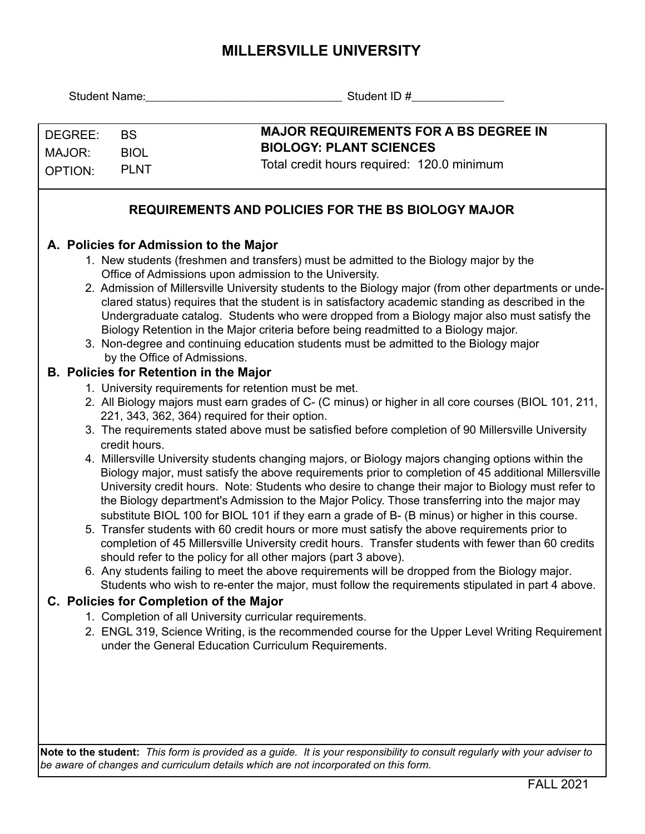# **MILLERSVILLE UNIVERSITY**

| Student Name:                |                                                                                                                                                                                     | Student ID #                                                                                                                                                                                                                                                                                                                                                                                                                                                                                                                                                                                                                                                                                                                                                                                                                                                                                                                                                                                                                                                                                                                                                                                                                                                                                                                                                                                                                                                                                                                                                                                                                                                                                                                                                                                                                                                                                                                                                                                                                                                                                                                                                                                            |  |  |  |  |
|------------------------------|-------------------------------------------------------------------------------------------------------------------------------------------------------------------------------------|---------------------------------------------------------------------------------------------------------------------------------------------------------------------------------------------------------------------------------------------------------------------------------------------------------------------------------------------------------------------------------------------------------------------------------------------------------------------------------------------------------------------------------------------------------------------------------------------------------------------------------------------------------------------------------------------------------------------------------------------------------------------------------------------------------------------------------------------------------------------------------------------------------------------------------------------------------------------------------------------------------------------------------------------------------------------------------------------------------------------------------------------------------------------------------------------------------------------------------------------------------------------------------------------------------------------------------------------------------------------------------------------------------------------------------------------------------------------------------------------------------------------------------------------------------------------------------------------------------------------------------------------------------------------------------------------------------------------------------------------------------------------------------------------------------------------------------------------------------------------------------------------------------------------------------------------------------------------------------------------------------------------------------------------------------------------------------------------------------------------------------------------------------------------------------------------------------|--|--|--|--|
| DEGREE:<br>MAJOR:<br>OPTION: | <b>BS</b><br><b>BIOL</b><br><b>PLNT</b>                                                                                                                                             | <b>MAJOR REQUIREMENTS FOR A BS DEGREE IN</b><br><b>BIOLOGY: PLANT SCIENCES</b><br>Total credit hours required: 120.0 minimum                                                                                                                                                                                                                                                                                                                                                                                                                                                                                                                                                                                                                                                                                                                                                                                                                                                                                                                                                                                                                                                                                                                                                                                                                                                                                                                                                                                                                                                                                                                                                                                                                                                                                                                                                                                                                                                                                                                                                                                                                                                                            |  |  |  |  |
|                              |                                                                                                                                                                                     | <b>REQUIREMENTS AND POLICIES FOR THE BS BIOLOGY MAJOR</b>                                                                                                                                                                                                                                                                                                                                                                                                                                                                                                                                                                                                                                                                                                                                                                                                                                                                                                                                                                                                                                                                                                                                                                                                                                                                                                                                                                                                                                                                                                                                                                                                                                                                                                                                                                                                                                                                                                                                                                                                                                                                                                                                               |  |  |  |  |
|                              | A. Policies for Admission to the Major<br>by the Office of Admissions.<br><b>B. Policies for Retention in the Major</b><br>credit hours.<br>C. Policies for Completion of the Major | 1. New students (freshmen and transfers) must be admitted to the Biology major by the<br>Office of Admissions upon admission to the University.<br>2. Admission of Millersville University students to the Biology major (from other departments or unde-<br>clared status) requires that the student is in satisfactory academic standing as described in the<br>Undergraduate catalog. Students who were dropped from a Biology major also must satisfy the<br>Biology Retention in the Major criteria before being readmitted to a Biology major.<br>3. Non-degree and continuing education students must be admitted to the Biology major<br>1. University requirements for retention must be met.<br>2. All Biology majors must earn grades of C- (C minus) or higher in all core courses (BIOL 101, 211,<br>221, 343, 362, 364) required for their option.<br>3. The requirements stated above must be satisfied before completion of 90 Millersville University<br>4. Millersville University students changing majors, or Biology majors changing options within the<br>Biology major, must satisfy the above requirements prior to completion of 45 additional Millersville<br>University credit hours. Note: Students who desire to change their major to Biology must refer to<br>the Biology department's Admission to the Major Policy. Those transferring into the major may<br>substitute BIOL 100 for BIOL 101 if they earn a grade of B- (B minus) or higher in this course.<br>5. Transfer students with 60 credit hours or more must satisfy the above requirements prior to<br>completion of 45 Millersville University credit hours. Transfer students with fewer than 60 credits<br>should refer to the policy for all other majors (part 3 above).<br>6. Any students failing to meet the above requirements will be dropped from the Biology major.<br>Students who wish to re-enter the major, must follow the requirements stipulated in part 4 above.<br>1. Completion of all University curricular requirements.<br>2. ENGL 319, Science Writing, is the recommended course for the Upper Level Writing Requirement<br>under the General Education Curriculum Requirements. |  |  |  |  |
|                              |                                                                                                                                                                                     |                                                                                                                                                                                                                                                                                                                                                                                                                                                                                                                                                                                                                                                                                                                                                                                                                                                                                                                                                                                                                                                                                                                                                                                                                                                                                                                                                                                                                                                                                                                                                                                                                                                                                                                                                                                                                                                                                                                                                                                                                                                                                                                                                                                                         |  |  |  |  |

**Note to the student:** *This form is provided as a guide. It is your responsibility to consult regularly with your adviser to be aware of changes and curriculum details which are not incorporated on this form.*